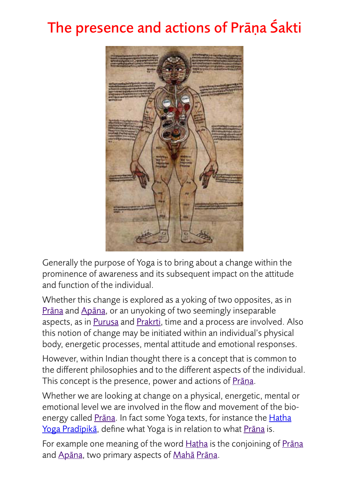## The presence and actions of Prāṇa Śakti



Generally the purpose of Yoga is to bring about a change within the prominence of awareness and its subsequent impact on the attitude and function of the individual.

Whether this change is explored as a yoking of two opposites, as in Pr[āṇ](http://www.yogastudies.org/sanskrit/prana/)a and [Ap](http://www.yogastudies.org/sanskrit/apana/)āna, or an unyoking of two seemingly inseparable aspects, as in [Puru](http://www.yogastudies.org/sanskrit/purusha/)sa and [Prak](http://www.yogastudies.org/sanskrit/prakrti/)rti, time and a process are involved. Also this notion of change may be initiated within an individual's physical body, energetic processes, mental attitude and emotional responses.

However, within Indian thought there is a concept that is common to the different philosophies and to the different aspects of the individual. This concept is the presence, power and actions of Prāna.

Whether we are looking at change on a physical, energetic, mental or emotional level we are involved in the flow and movement of the bioenergy called Prāna. In fact some Yoga texts, for instance the Hatha [Yoga Prad](http://www.yogastudies.org/category/cys-journal/yoga-texts-posts/all-ha%25E1%25B9%25ADha-yoga-posts/ha%25E1%25B9%25ADha-yoga-pradipika/)īpikā, define what Yoga is in relation to what Pr[āṇ](http://www.yogastudies.org/sanskrit/prana/)a is.

For example one meaning of the word [Ha](http://www.yogastudies.org/sanskrit/hatha/)tha is the conjoining of Prana and [Ap](http://www.yogastudies.org/sanskrit/apana/)āna, two primary aspects of [Mah](http://www.yogastudies.org/sanskrit/maha/)ā Pr[āṇ](http://www.yogastudies.org/sanskrit/prana/)a.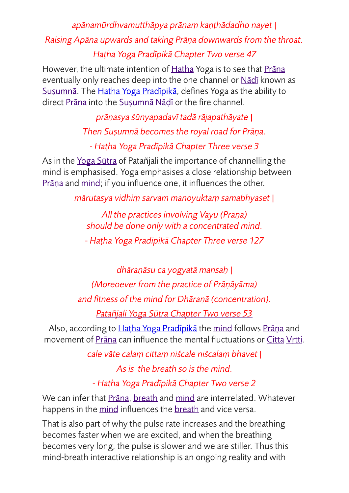## *apānamūrdhvamutthāpya prāṇaṃ kaṇṭhādadho nayet | Raising Apāna upwards and taking Prāṇa downwards from the throat. Haṭha Yoga Pradīpikā Chapter Two verse 47*

However, the ultimate intention of [Ha](http://www.yogastudies.org/sanskrit/hatha/)tha Yoga is to see that Prāna eventually only reaches deep into the one channel or N[āḍī](http://www.yogastudies.org/sanskrit/nadi/) known as Sus[umn](http://www.yogastudies.org/sanskrit/susumna/)ā. The Hat[ha Yoga Prad](http://www.yogastudies.org/category/cys-journal/yoga-texts-posts/all-ha%25E1%25B9%25ADha-yoga-posts/ha%25E1%25B9%25ADha-yoga-pradipika/)īpikā, defines Yoga as the ability to direct Prāna into the Sus[umn](http://www.yogastudies.org/sanskrit/susumna/)ā Nādī or the fire channel.

*prāṇasya śūnyapadavī tadā rājapathāyate |* 

*Then Suṣumnā becomes the royal road for Prāṇa.* 

*- Haṭha Yoga Pradīpikā Chapter Three verse 3* 

As in the [Yoga S](http://www.yogastudies.org/yoga-text-freenotes/yoga-sutra-freenotes/)ūtra of Patañjali the importance of channelling the mind is emphasised. Yoga emphasises a close relationship between Prāna and [mind;](http://www.yogastudies.org/sanskrit/manas/) if you influence one, it influences the other.

*mārutasya vidhiṃ sarvam manoyuktaṃ samabhyaset |* 

*All the practices involving Vāyu (Prāṇa) should be done only with a concentrated mind.* 

*- Haṭha Yoga Pradīpikā Chapter Three verse 127* 

*dhāraṇāsu ca yogyatā mansaḥ | (Moreoever from the practice of Prāṇāyāma) and fitness of the mind for Dhāraṇā (concentration).* 

*Patañjali Yoga Sū[tra Chapter Two verse 53](http://www.yogastudies.org/sutra/yoga-sutra-chapter-2-verse-53/)*

Also, according to Haṭ[ha Yoga Prad](http://www.yogastudies.org/category/cys-journal/yoga-texts-posts/all-ha%25E1%25B9%25ADha-yoga-posts/ha%25E1%25B9%25ADha-yoga-pradipika/)īpikā the [mind](http://www.yogastudies.org/sanskrit/manas/) follows Pr[āṇ](http://www.yogastudies.org/sanskrit/prana/)a and movement of Pr[āṇ](http://www.yogastudies.org/sanskrit/prana/)a can influence the mental fluctuations or [Citta](http://www.yogastudies.org/sanskrit/citta/) Vṛ[tti.](http://www.yogastudies.org/sanskrit/vrtti/)

*cale vāte calaṃ cittaṃ niścale niścalaṃ bhavet |* 

*As is the breath so is the mind.* 

*- Haṭha Yoga Pradīpikā Chapter Two verse 2* 

We can infer that Pr[āṇ](http://www.yogastudies.org/sanskrit/prana/)a, [breath](http://www.yogastudies.org/sanskrit/prana/) and [mind](http://www.yogastudies.org/sanskrit/manas/) are interrelated. Whatever happens in the [mind](http://www.yogastudies.org/sanskrit/manas/) influences the [breath](http://www.yogastudies.org/sanskrit/prana/) and vice versa.

That is also part of why the pulse rate increases and the breathing becomes faster when we are excited, and when the breathing becomes very long, the pulse is slower and we are stiller. Thus this mind-breath interactive relationship is an ongoing reality and with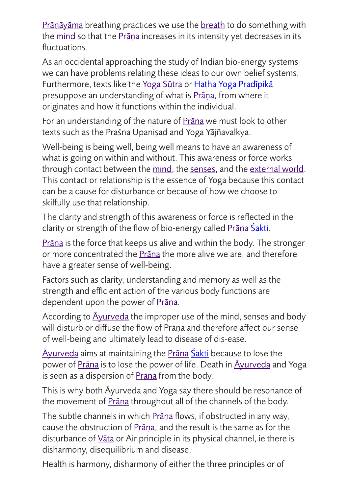Pr[āṇā](http://www.yogastudies.org/sanskrit/pranamaya/)yāma breathing practices we use the [breath](http://www.yogastudies.org/sanskrit/prana/) to do something with the [mind](http://www.yogastudies.org/sanskrit/manas/) so that the Prāna increases in its intensity yet decreases in its fluctuations.

As an occidental approaching the study of Indian bio-energy systems we can have problems relating these ideas to our own belief systems. Furthermore, texts like the [Yoga S](http://www.yogastudies.org/yoga-text-freenotes/yoga-sutra-freenotes/)ūtra or Hat[ha Yoga Prad](http://www.yogastudies.org/category/cys-journal/yoga-texts-posts/all-ha%25E1%25B9%25ADha-yoga-posts/ha%25E1%25B9%25ADha-yoga-pradipika/)īpikā presuppose an understanding of what is Prana, from where it originates and how it functions within the individual.

For an understanding of the nature of **Prāna** we must look to other texts such as the Praśna Upaniṣad and Yoga Yājñavalkya.

Well-being is being well, being well means to have an awareness of what is going on within and without. This awareness or force works through contact between the [mind,](http://www.yogastudies.org/sanskrit/manas/) the [senses](http://www.yogastudies.org/sanskrit/indriya/), and the [external world.](http://www.yogastudies.org/sanskrit/prakrti/) This contact or relationship is the essence of Yoga because this contact can be a cause for disturbance or because of how we choose to skilfully use that relationship.

The clarity and strength of this awareness or force is reflected in the clarity or strength of the flow of bio-energy called Prāna Ś[akti.](http://www.yogastudies.org/sanskrit/shakti/)

Pr[āṇ](http://www.yogastudies.org/sanskrit/prana/)a is the force that keeps us alive and within the body. The stronger or more concentrated the Pr[āṇ](http://www.yogastudies.org/sanskrit/prana/)a the more alive we are, and therefore have a greater sense of well-being.

Factors such as clarity, understanding and memory as well as the strength and efficient action of the various body functions are dependent upon the power of Pr[āṇ](http://www.yogastudies.org/sanskrit/prana/)a.

According to  $\overline{A}$ [yurveda](http://www.yogastudies.org/sanskrit/ayurveda/) the improper use of the mind, senses and body will disturb or diffuse the flow of Prāṇa and therefore affect our sense of well-being and ultimately lead to disease of dis-ease.

Ā[yurveda](http://www.yogastudies.org/sanskrit/ayurveda/) aims at maintaining the Pr[āṇ](http://www.yogastudies.org/sanskrit/prana/)a Ś[akti](http://www.yogastudies.org/sanskrit/shakti/) because to lose the power of Prāna is to lose the power of life. Death in <u>Āyurveda</u> and Yoga is seen as a dispersion of Prāna from the body.

This is why both Āyurveda and Yoga say there should be resonance of the movement of **Prana** throughout all of the channels of the body.

The subtle channels in which **Prāna** flows, if obstructed in any way, cause the obstruction of Pr[āṇ](http://www.yogastudies.org/sanskrit/prana/)a, and the result is the same as for the disturbance of Vā[ta](http://www.yogastudies.org/sanskrit/vata/) or Air principle in its physical channel, ie there is disharmony, disequilibrium and disease.

Health is harmony, disharmony of either the three principles or of